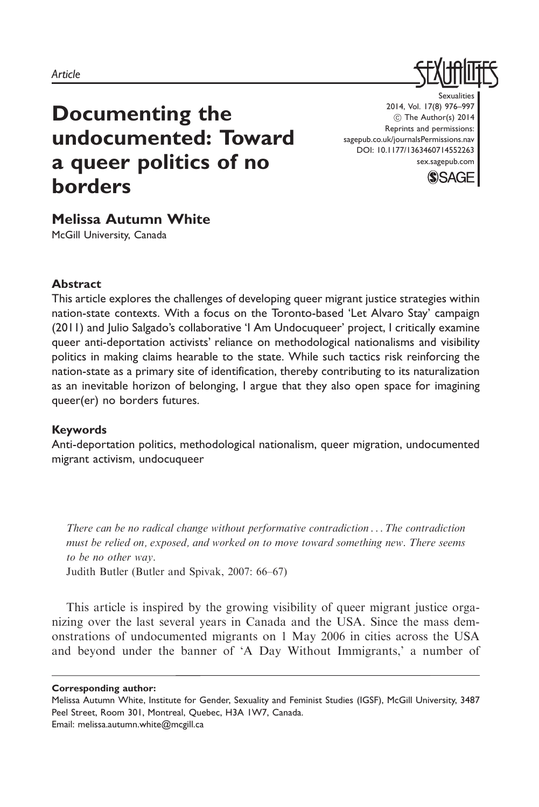

# Documenting the undocumented: Toward a queer politics of no borders

Sexualities 2014, Vol. 17(8) 976–997 (C) The Author(s) 2014 Reprints and permissions: sagepub.co.uk/journalsPermissions.nav DOI: 10.1177/1363460714552263 sex.sagepub.com



# Melissa Autumn White

McGill University, Canada

## **Abstract**

This article explores the challenges of developing queer migrant justice strategies within nation-state contexts. With a focus on the Toronto-based 'Let Alvaro Stay' campaign (2011) and Julio Salgado's collaborative 'I Am Undocuqueer' project, I critically examine queer anti-deportation activists' reliance on methodological nationalisms and visibility politics in making claims hearable to the state. While such tactics risk reinforcing the nation-state as a primary site of identification, thereby contributing to its naturalization as an inevitable horizon of belonging, I argue that they also open space for imagining queer(er) no borders futures.

## Keywords

Anti-deportation politics, methodological nationalism, queer migration, undocumented migrant activism, undocuqueer

There can be no radical change without performative contradiction ...The contradiction must be relied on, exposed, and worked on to move toward something new. There seems to be no other way.

Judith Butler (Butler and Spivak, 2007: 66–67)

This article is inspired by the growing visibility of queer migrant justice organizing over the last several years in Canada and the USA. Since the mass demonstrations of undocumented migrants on 1 May 2006 in cities across the USA and beyond under the banner of 'A Day Without Immigrants,' a number of

Corresponding author:

Melissa Autumn White, Institute for Gender, Sexuality and Feminist Studies (IGSF), McGill University, 3487 Peel Street, Room 301, Montreal, Quebec, H3A 1W7, Canada. Email: melissa.autumn.white@mcgill.ca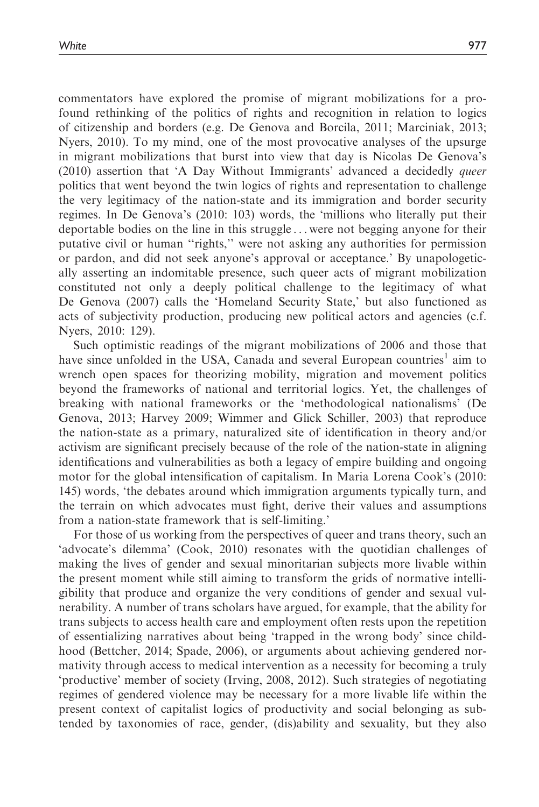commentators have explored the promise of migrant mobilizations for a profound rethinking of the politics of rights and recognition in relation to logics of citizenship and borders (e.g. De Genova and Borcila, 2011; Marciniak, 2013; Nyers, 2010). To my mind, one of the most provocative analyses of the upsurge in migrant mobilizations that burst into view that day is Nicolas De Genova's (2010) assertion that 'A Day Without Immigrants' advanced a decidedly queer politics that went beyond the twin logics of rights and representation to challenge the very legitimacy of the nation-state and its immigration and border security regimes. In De Genova's (2010: 103) words, the 'millions who literally put their deportable bodies on the line in this struggle ... were not begging anyone for their putative civil or human ''rights,'' were not asking any authorities for permission or pardon, and did not seek anyone's approval or acceptance.' By unapologetically asserting an indomitable presence, such queer acts of migrant mobilization constituted not only a deeply political challenge to the legitimacy of what De Genova (2007) calls the 'Homeland Security State,' but also functioned as acts of subjectivity production, producing new political actors and agencies (c.f. Nyers, 2010: 129).

Such optimistic readings of the migrant mobilizations of 2006 and those that have since unfolded in the USA, Canada and several European countries<sup>1</sup> aim to wrench open spaces for theorizing mobility, migration and movement politics beyond the frameworks of national and territorial logics. Yet, the challenges of breaking with national frameworks or the 'methodological nationalisms' (De Genova, 2013; Harvey 2009; Wimmer and Glick Schiller, 2003) that reproduce the nation-state as a primary, naturalized site of identification in theory and/or activism are significant precisely because of the role of the nation-state in aligning identifications and vulnerabilities as both a legacy of empire building and ongoing motor for the global intensification of capitalism. In Maria Lorena Cook's (2010: 145) words, 'the debates around which immigration arguments typically turn, and the terrain on which advocates must fight, derive their values and assumptions from a nation-state framework that is self-limiting.'

For those of us working from the perspectives of queer and trans theory, such an 'advocate's dilemma' (Cook, 2010) resonates with the quotidian challenges of making the lives of gender and sexual minoritarian subjects more livable within the present moment while still aiming to transform the grids of normative intelligibility that produce and organize the very conditions of gender and sexual vulnerability. A number of trans scholars have argued, for example, that the ability for trans subjects to access health care and employment often rests upon the repetition of essentializing narratives about being 'trapped in the wrong body' since childhood (Bettcher, 2014; Spade, 2006), or arguments about achieving gendered normativity through access to medical intervention as a necessity for becoming a truly 'productive' member of society (Irving, 2008, 2012). Such strategies of negotiating regimes of gendered violence may be necessary for a more livable life within the present context of capitalist logics of productivity and social belonging as subtended by taxonomies of race, gender, (dis)ability and sexuality, but they also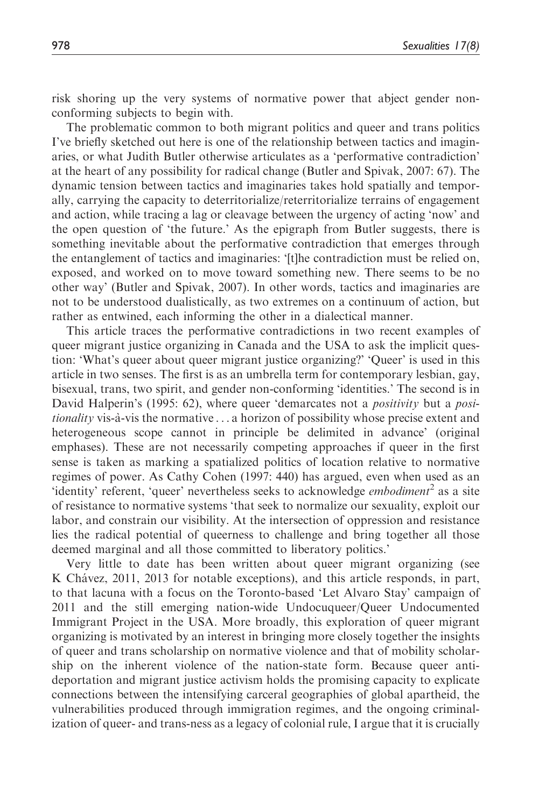risk shoring up the very systems of normative power that abject gender nonconforming subjects to begin with.

The problematic common to both migrant politics and queer and trans politics I've briefly sketched out here is one of the relationship between tactics and imaginaries, or what Judith Butler otherwise articulates as a 'performative contradiction' at the heart of any possibility for radical change (Butler and Spivak, 2007: 67). The dynamic tension between tactics and imaginaries takes hold spatially and temporally, carrying the capacity to deterritorialize/reterritorialize terrains of engagement and action, while tracing a lag or cleavage between the urgency of acting 'now' and the open question of 'the future.' As the epigraph from Butler suggests, there is something inevitable about the performative contradiction that emerges through the entanglement of tactics and imaginaries: '[t]he contradiction must be relied on, exposed, and worked on to move toward something new. There seems to be no other way' (Butler and Spivak, 2007). In other words, tactics and imaginaries are not to be understood dualistically, as two extremes on a continuum of action, but rather as entwined, each informing the other in a dialectical manner.

This article traces the performative contradictions in two recent examples of queer migrant justice organizing in Canada and the USA to ask the implicit question: 'What's queer about queer migrant justice organizing?' 'Queer' is used in this article in two senses. The first is as an umbrella term for contemporary lesbian, gay, bisexual, trans, two spirit, and gender non-conforming 'identities.' The second is in David Halperin's (1995: 62), where queer 'demarcates not a *positivity* but a *positionality* vis-à-vis the normative  $\ldots$  a horizon of possibility whose precise extent and heterogeneous scope cannot in principle be delimited in advance' (original emphases). These are not necessarily competing approaches if queer in the first sense is taken as marking a spatialized politics of location relative to normative regimes of power. As Cathy Cohen (1997: 440) has argued, even when used as an 'identity' referent, 'queer' nevertheless seeks to acknowledge *embodiment*<sup>2</sup> as a site of resistance to normative systems 'that seek to normalize our sexuality, exploit our labor, and constrain our visibility. At the intersection of oppression and resistance lies the radical potential of queerness to challenge and bring together all those deemed marginal and all those committed to liberatory politics.'

Very little to date has been written about queer migrant organizing (see K Chávez, 2011, 2013 for notable exceptions), and this article responds, in part, to that lacuna with a focus on the Toronto-based 'Let Alvaro Stay' campaign of 2011 and the still emerging nation-wide Undocuqueer/Queer Undocumented Immigrant Project in the USA. More broadly, this exploration of queer migrant organizing is motivated by an interest in bringing more closely together the insights of queer and trans scholarship on normative violence and that of mobility scholarship on the inherent violence of the nation-state form. Because queer antideportation and migrant justice activism holds the promising capacity to explicate connections between the intensifying carceral geographies of global apartheid, the vulnerabilities produced through immigration regimes, and the ongoing criminalization of queer- and trans-ness as a legacy of colonial rule, I argue that it is crucially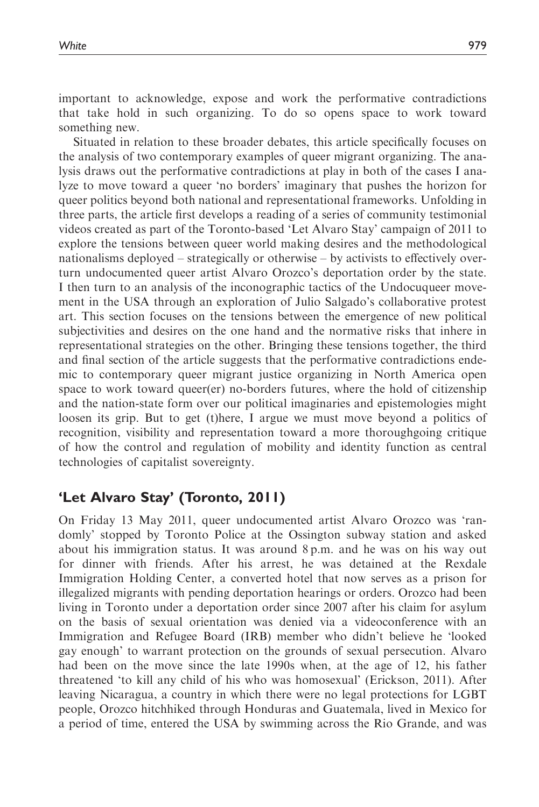important to acknowledge, expose and work the performative contradictions that take hold in such organizing. To do so opens space to work toward something new.

Situated in relation to these broader debates, this article specifically focuses on the analysis of two contemporary examples of queer migrant organizing. The analysis draws out the performative contradictions at play in both of the cases I analyze to move toward a queer 'no borders' imaginary that pushes the horizon for queer politics beyond both national and representational frameworks. Unfolding in three parts, the article first develops a reading of a series of community testimonial videos created as part of the Toronto-based 'Let Alvaro Stay' campaign of 2011 to explore the tensions between queer world making desires and the methodological nationalisms deployed – strategically or otherwise – by activists to effectively overturn undocumented queer artist Alvaro Orozco's deportation order by the state. I then turn to an analysis of the inconographic tactics of the Undocuqueer movement in the USA through an exploration of Julio Salgado's collaborative protest art. This section focuses on the tensions between the emergence of new political subjectivities and desires on the one hand and the normative risks that inhere in representational strategies on the other. Bringing these tensions together, the third and final section of the article suggests that the performative contradictions endemic to contemporary queer migrant justice organizing in North America open space to work toward queer(er) no-borders futures, where the hold of citizenship and the nation-state form over our political imaginaries and epistemologies might loosen its grip. But to get (t)here, I argue we must move beyond a politics of recognition, visibility and representation toward a more thoroughgoing critique of how the control and regulation of mobility and identity function as central technologies of capitalist sovereignty.

# 'Let Alvaro Stay' (Toronto, 2011)

On Friday 13 May 2011, queer undocumented artist Alvaro Orozco was 'randomly' stopped by Toronto Police at the Ossington subway station and asked about his immigration status. It was around 8 p.m. and he was on his way out for dinner with friends. After his arrest, he was detained at the Rexdale Immigration Holding Center, a converted hotel that now serves as a prison for illegalized migrants with pending deportation hearings or orders. Orozco had been living in Toronto under a deportation order since 2007 after his claim for asylum on the basis of sexual orientation was denied via a videoconference with an Immigration and Refugee Board (IRB) member who didn't believe he 'looked gay enough' to warrant protection on the grounds of sexual persecution. Alvaro had been on the move since the late 1990s when, at the age of 12, his father threatened 'to kill any child of his who was homosexual' (Erickson, 2011). After leaving Nicaragua, a country in which there were no legal protections for LGBT people, Orozco hitchhiked through Honduras and Guatemala, lived in Mexico for a period of time, entered the USA by swimming across the Rio Grande, and was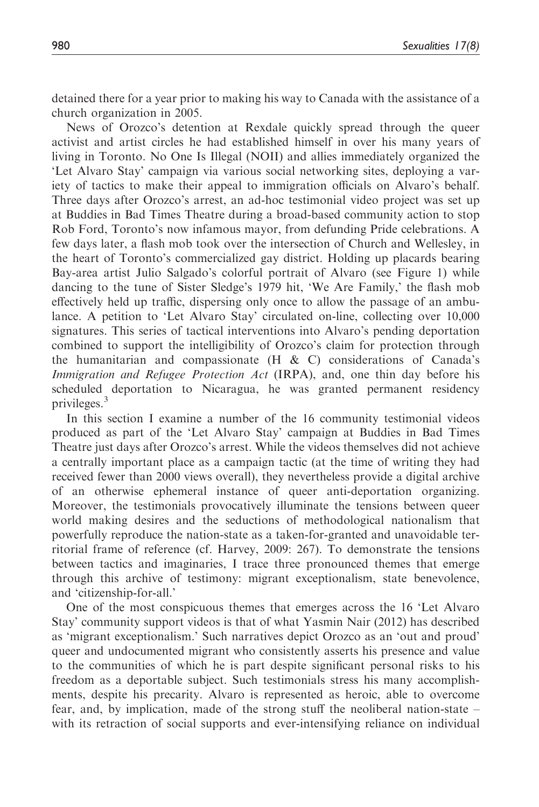detained there for a year prior to making his way to Canada with the assistance of a church organization in 2005.

News of Orozco's detention at Rexdale quickly spread through the queer activist and artist circles he had established himself in over his many years of living in Toronto. No One Is Illegal (NOII) and allies immediately organized the 'Let Alvaro Stay' campaign via various social networking sites, deploying a variety of tactics to make their appeal to immigration officials on Alvaro's behalf. Three days after Orozco's arrest, an ad-hoc testimonial video project was set up at Buddies in Bad Times Theatre during a broad-based community action to stop Rob Ford, Toronto's now infamous mayor, from defunding Pride celebrations. A few days later, a flash mob took over the intersection of Church and Wellesley, in the heart of Toronto's commercialized gay district. Holding up placards bearing Bay-area artist Julio Salgado's colorful portrait of Alvaro (see Figure 1) while dancing to the tune of Sister Sledge's 1979 hit, 'We Are Family,' the flash mob effectively held up traffic, dispersing only once to allow the passage of an ambulance. A petition to 'Let Alvaro Stay' circulated on-line, collecting over 10,000 signatures. This series of tactical interventions into Alvaro's pending deportation combined to support the intelligibility of Orozco's claim for protection through the humanitarian and compassionate  $(H \& C)$  considerations of Canada's Immigration and Refugee Protection Act (IRPA), and, one thin day before his scheduled deportation to Nicaragua, he was granted permanent residency privileges.<sup>3</sup>

In this section I examine a number of the 16 community testimonial videos produced as part of the 'Let Alvaro Stay' campaign at Buddies in Bad Times Theatre just days after Orozco's arrest. While the videos themselves did not achieve a centrally important place as a campaign tactic (at the time of writing they had received fewer than 2000 views overall), they nevertheless provide a digital archive of an otherwise ephemeral instance of queer anti-deportation organizing. Moreover, the testimonials provocatively illuminate the tensions between queer world making desires and the seductions of methodological nationalism that powerfully reproduce the nation-state as a taken-for-granted and unavoidable territorial frame of reference (cf. Harvey, 2009: 267). To demonstrate the tensions between tactics and imaginaries, I trace three pronounced themes that emerge through this archive of testimony: migrant exceptionalism, state benevolence, and 'citizenship-for-all.'

One of the most conspicuous themes that emerges across the 16 'Let Alvaro Stay' community support videos is that of what Yasmin Nair (2012) has described as 'migrant exceptionalism.' Such narratives depict Orozco as an 'out and proud' queer and undocumented migrant who consistently asserts his presence and value to the communities of which he is part despite significant personal risks to his freedom as a deportable subject. Such testimonials stress his many accomplishments, despite his precarity. Alvaro is represented as heroic, able to overcome fear, and, by implication, made of the strong stuff the neoliberal nation-state – with its retraction of social supports and ever-intensifying reliance on individual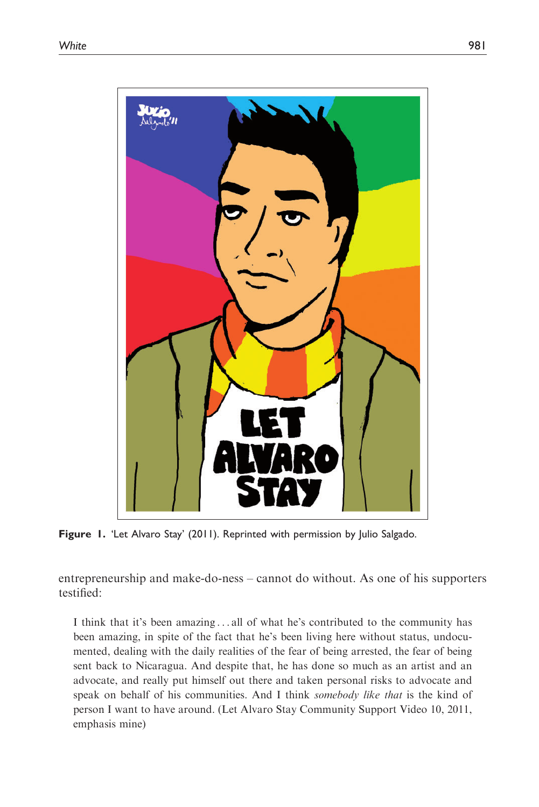

Figure 1. 'Let Alvaro Stay' (2011). Reprinted with permission by Julio Salgado.

entrepreneurship and make-do-ness – cannot do without. As one of his supporters testified:

I think that it's been amazing ... all of what he's contributed to the community has been amazing, in spite of the fact that he's been living here without status, undocumented, dealing with the daily realities of the fear of being arrested, the fear of being sent back to Nicaragua. And despite that, he has done so much as an artist and an advocate, and really put himself out there and taken personal risks to advocate and speak on behalf of his communities. And I think somebody like that is the kind of person I want to have around. (Let Alvaro Stay Community Support Video 10, 2011, emphasis mine)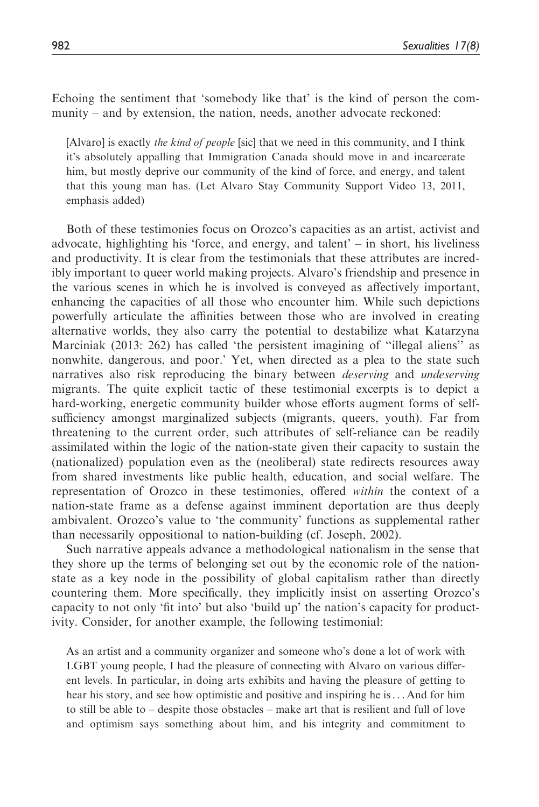Echoing the sentiment that 'somebody like that' is the kind of person the community – and by extension, the nation, needs, another advocate reckoned:

[Alvaro] is exactly *the kind of people* [sic] that we need in this community, and I think it's absolutely appalling that Immigration Canada should move in and incarcerate him, but mostly deprive our community of the kind of force, and energy, and talent that this young man has. (Let Alvaro Stay Community Support Video 13, 2011, emphasis added)

Both of these testimonies focus on Orozco's capacities as an artist, activist and advocate, highlighting his 'force, and energy, and talent' – in short, his liveliness and productivity. It is clear from the testimonials that these attributes are incredibly important to queer world making projects. Alvaro's friendship and presence in the various scenes in which he is involved is conveyed as affectively important, enhancing the capacities of all those who encounter him. While such depictions powerfully articulate the affinities between those who are involved in creating alternative worlds, they also carry the potential to destabilize what Katarzyna Marciniak (2013: 262) has called 'the persistent imagining of ''illegal aliens'' as nonwhite, dangerous, and poor.' Yet, when directed as a plea to the state such narratives also risk reproducing the binary between *deserving* and *undeserving* migrants. The quite explicit tactic of these testimonial excerpts is to depict a hard-working, energetic community builder whose efforts augment forms of selfsufficiency amongst marginalized subjects (migrants, queers, youth). Far from threatening to the current order, such attributes of self-reliance can be readily assimilated within the logic of the nation-state given their capacity to sustain the (nationalized) population even as the (neoliberal) state redirects resources away from shared investments like public health, education, and social welfare. The representation of Orozco in these testimonies, offered within the context of a nation-state frame as a defense against imminent deportation are thus deeply ambivalent. Orozco's value to 'the community' functions as supplemental rather than necessarily oppositional to nation-building (cf. Joseph, 2002).

Such narrative appeals advance a methodological nationalism in the sense that they shore up the terms of belonging set out by the economic role of the nationstate as a key node in the possibility of global capitalism rather than directly countering them. More specifically, they implicitly insist on asserting Orozco's capacity to not only 'fit into' but also 'build up' the nation's capacity for productivity. Consider, for another example, the following testimonial:

As an artist and a community organizer and someone who's done a lot of work with LGBT young people, I had the pleasure of connecting with Alvaro on various different levels. In particular, in doing arts exhibits and having the pleasure of getting to hear his story, and see how optimistic and positive and inspiring he is... And for him to still be able to – despite those obstacles – make art that is resilient and full of love and optimism says something about him, and his integrity and commitment to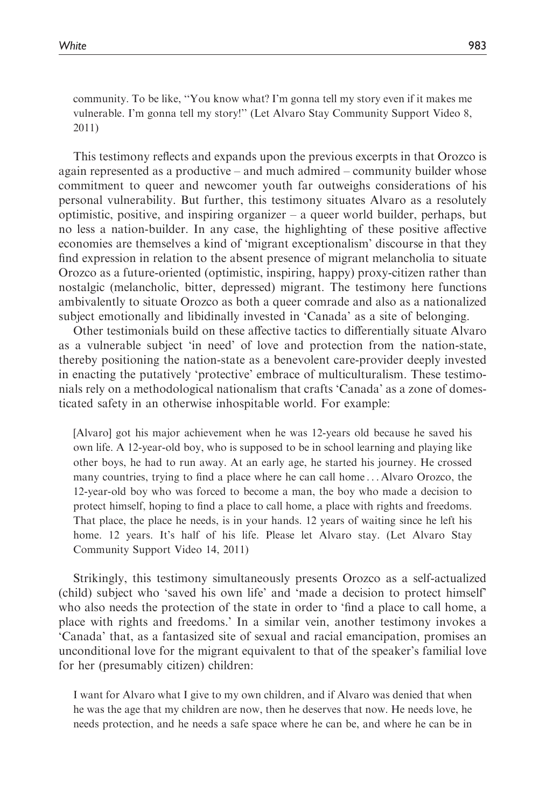community. To be like, ''You know what? I'm gonna tell my story even if it makes me vulnerable. I'm gonna tell my story!'' (Let Alvaro Stay Community Support Video 8, 2011)

This testimony reflects and expands upon the previous excerpts in that Orozco is again represented as a productive – and much admired – community builder whose commitment to queer and newcomer youth far outweighs considerations of his personal vulnerability. But further, this testimony situates Alvaro as a resolutely optimistic, positive, and inspiring organizer – a queer world builder, perhaps, but no less a nation-builder. In any case, the highlighting of these positive affective economies are themselves a kind of 'migrant exceptionalism' discourse in that they find expression in relation to the absent presence of migrant melancholia to situate Orozco as a future-oriented (optimistic, inspiring, happy) proxy-citizen rather than nostalgic (melancholic, bitter, depressed) migrant. The testimony here functions ambivalently to situate Orozco as both a queer comrade and also as a nationalized subject emotionally and libidinally invested in 'Canada' as a site of belonging.

Other testimonials build on these affective tactics to differentially situate Alvaro as a vulnerable subject 'in need' of love and protection from the nation-state, thereby positioning the nation-state as a benevolent care-provider deeply invested in enacting the putatively 'protective' embrace of multiculturalism. These testimonials rely on a methodological nationalism that crafts 'Canada' as a zone of domesticated safety in an otherwise inhospitable world. For example:

[Alvaro] got his major achievement when he was 12-years old because he saved his own life. A 12-year-old boy, who is supposed to be in school learning and playing like other boys, he had to run away. At an early age, he started his journey. He crossed many countries, trying to find a place where he can call home ... Alvaro Orozco, the 12-year-old boy who was forced to become a man, the boy who made a decision to protect himself, hoping to find a place to call home, a place with rights and freedoms. That place, the place he needs, is in your hands. 12 years of waiting since he left his home. 12 years. It's half of his life. Please let Alvaro stay. (Let Alvaro Stay Community Support Video 14, 2011)

Strikingly, this testimony simultaneously presents Orozco as a self-actualized (child) subject who 'saved his own life' and 'made a decision to protect himself' who also needs the protection of the state in order to 'find a place to call home, a place with rights and freedoms.' In a similar vein, another testimony invokes a 'Canada' that, as a fantasized site of sexual and racial emancipation, promises an unconditional love for the migrant equivalent to that of the speaker's familial love for her (presumably citizen) children:

I want for Alvaro what I give to my own children, and if Alvaro was denied that when he was the age that my children are now, then he deserves that now. He needs love, he needs protection, and he needs a safe space where he can be, and where he can be in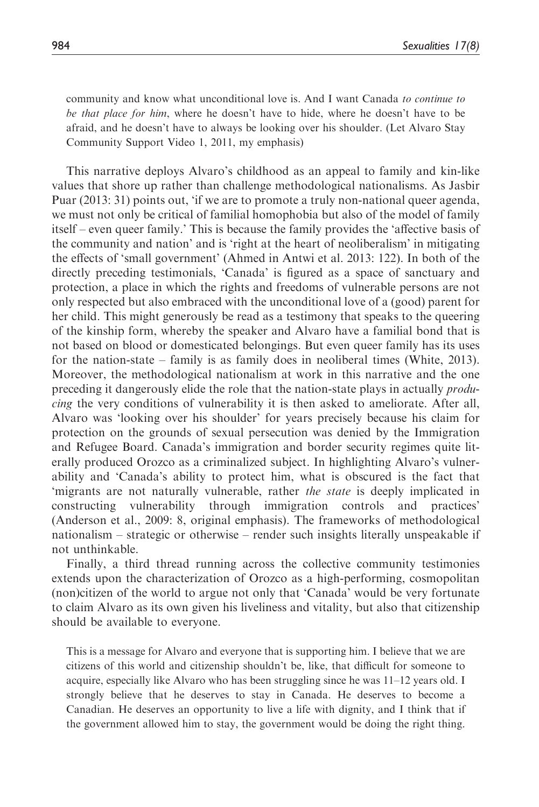community and know what unconditional love is. And I want Canada to continue to be that place for him, where he doesn't have to hide, where he doesn't have to be afraid, and he doesn't have to always be looking over his shoulder. (Let Alvaro Stay Community Support Video 1, 2011, my emphasis)

This narrative deploys Alvaro's childhood as an appeal to family and kin-like values that shore up rather than challenge methodological nationalisms. As Jasbir Puar (2013: 31) points out, 'if we are to promote a truly non-national queer agenda, we must not only be critical of familial homophobia but also of the model of family itself – even queer family.' This is because the family provides the 'affective basis of the community and nation' and is 'right at the heart of neoliberalism' in mitigating the effects of 'small government' (Ahmed in Antwi et al. 2013: 122). In both of the directly preceding testimonials, 'Canada' is figured as a space of sanctuary and protection, a place in which the rights and freedoms of vulnerable persons are not only respected but also embraced with the unconditional love of a (good) parent for her child. This might generously be read as a testimony that speaks to the queering of the kinship form, whereby the speaker and Alvaro have a familial bond that is not based on blood or domesticated belongings. But even queer family has its uses for the nation-state – family is as family does in neoliberal times (White, 2013). Moreover, the methodological nationalism at work in this narrative and the one preceding it dangerously elide the role that the nation-state plays in actually producing the very conditions of vulnerability it is then asked to ameliorate. After all, Alvaro was 'looking over his shoulder' for years precisely because his claim for protection on the grounds of sexual persecution was denied by the Immigration and Refugee Board. Canada's immigration and border security regimes quite literally produced Orozco as a criminalized subject. In highlighting Alvaro's vulnerability and 'Canada's ability to protect him, what is obscured is the fact that 'migrants are not naturally vulnerable, rather the state is deeply implicated in constructing vulnerability through immigration controls and practices' (Anderson et al., 2009: 8, original emphasis). The frameworks of methodological nationalism – strategic or otherwise – render such insights literally unspeakable if not unthinkable.

Finally, a third thread running across the collective community testimonies extends upon the characterization of Orozco as a high-performing, cosmopolitan (non)citizen of the world to argue not only that 'Canada' would be very fortunate to claim Alvaro as its own given his liveliness and vitality, but also that citizenship should be available to everyone.

This is a message for Alvaro and everyone that is supporting him. I believe that we are citizens of this world and citizenship shouldn't be, like, that difficult for someone to acquire, especially like Alvaro who has been struggling since he was 11–12 years old. I strongly believe that he deserves to stay in Canada. He deserves to become a Canadian. He deserves an opportunity to live a life with dignity, and I think that if the government allowed him to stay, the government would be doing the right thing.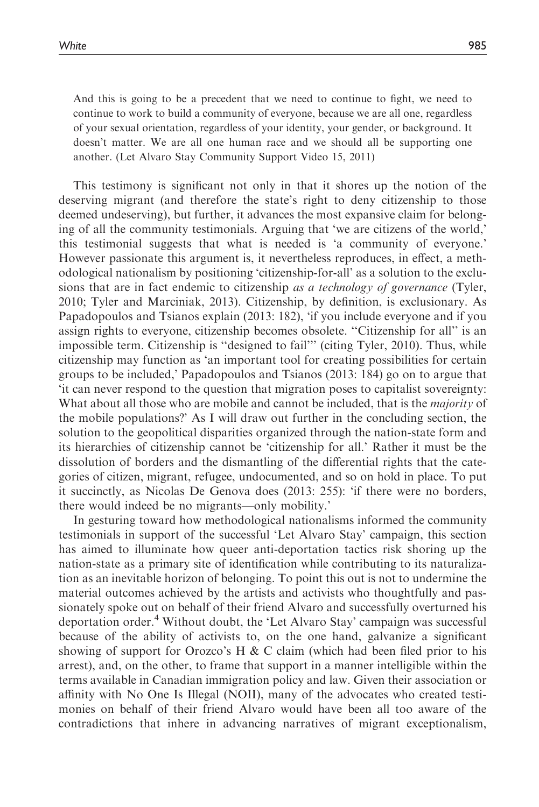And this is going to be a precedent that we need to continue to fight, we need to continue to work to build a community of everyone, because we are all one, regardless of your sexual orientation, regardless of your identity, your gender, or background. It doesn't matter. We are all one human race and we should all be supporting one another. (Let Alvaro Stay Community Support Video 15, 2011)

This testimony is significant not only in that it shores up the notion of the deserving migrant (and therefore the state's right to deny citizenship to those deemed undeserving), but further, it advances the most expansive claim for belonging of all the community testimonials. Arguing that 'we are citizens of the world,' this testimonial suggests that what is needed is 'a community of everyone.' However passionate this argument is, it nevertheless reproduces, in effect, a methodological nationalism by positioning 'citizenship-for-all' as a solution to the exclusions that are in fact endemic to citizenship as a technology of governance (Tyler, 2010; Tyler and Marciniak, 2013). Citizenship, by definition, is exclusionary. As Papadopoulos and Tsianos explain (2013: 182), 'if you include everyone and if you assign rights to everyone, citizenship becomes obsolete. ''Citizenship for all'' is an impossible term. Citizenship is ''designed to fail''' (citing Tyler, 2010). Thus, while citizenship may function as 'an important tool for creating possibilities for certain groups to be included,' Papadopoulos and Tsianos (2013: 184) go on to argue that 'it can never respond to the question that migration poses to capitalist sovereignty: What about all those who are mobile and cannot be included, that is the *majority* of the mobile populations?' As I will draw out further in the concluding section, the solution to the geopolitical disparities organized through the nation-state form and its hierarchies of citizenship cannot be 'citizenship for all.' Rather it must be the dissolution of borders and the dismantling of the differential rights that the categories of citizen, migrant, refugee, undocumented, and so on hold in place. To put it succinctly, as Nicolas De Genova does (2013: 255): 'if there were no borders, there would indeed be no migrants—only mobility.'

In gesturing toward how methodological nationalisms informed the community testimonials in support of the successful 'Let Alvaro Stay' campaign, this section has aimed to illuminate how queer anti-deportation tactics risk shoring up the nation-state as a primary site of identification while contributing to its naturalization as an inevitable horizon of belonging. To point this out is not to undermine the material outcomes achieved by the artists and activists who thoughtfully and passionately spoke out on behalf of their friend Alvaro and successfully overturned his deportation order.<sup>4</sup> Without doubt, the 'Let Alvaro Stay' campaign was successful because of the ability of activists to, on the one hand, galvanize a significant showing of support for Orozco's H & C claim (which had been filed prior to his arrest), and, on the other, to frame that support in a manner intelligible within the terms available in Canadian immigration policy and law. Given their association or affinity with No One Is Illegal (NOII), many of the advocates who created testimonies on behalf of their friend Alvaro would have been all too aware of the contradictions that inhere in advancing narratives of migrant exceptionalism,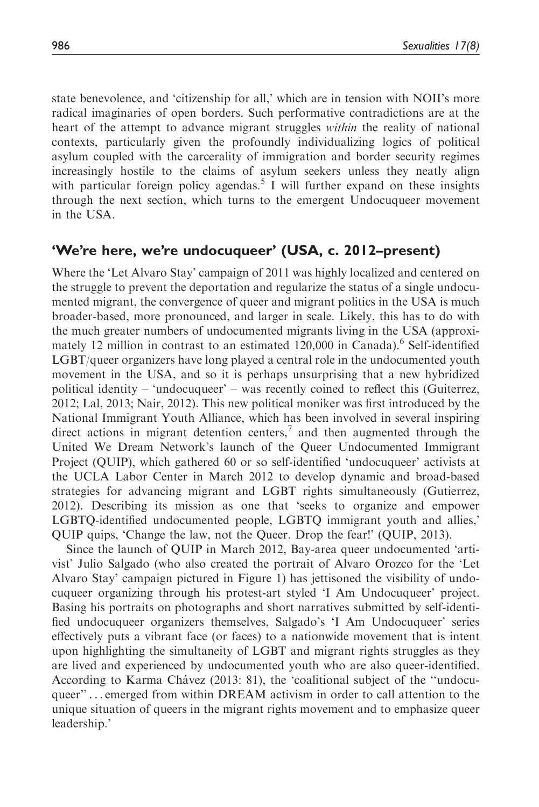state benevolence, and 'citizenship for all,' which are in tension with NOII's more radical imaginaries of open borders. Such performative contradictions are at the heart of the attempt to advance migrant struggles *within* the reality of national contexts, particularly given the profoundly individualizing logics of political asylum coupled with the carcerality of immigration and border security regimes increasingly hostile to the claims of asylum seekers unless they neatly align with particular foreign policy agendas.<sup>5</sup> I will further expand on these insights through the next section, which turns to the emergent Undocuqueer movement in the USA.

# 'We're here, we're undocuqueer' (USA, c. 2012–present)

Where the 'Let Alvaro Stay' campaign of 2011 was highly localized and centered on the struggle to prevent the deportation and regularize the status of a single undocumented migrant, the convergence of queer and migrant politics in the USA is much broader-based, more pronounced, and larger in scale. Likely, this has to do with the much greater numbers of undocumented migrants living in the USA (approximately 12 million in contrast to an estimated 120,000 in Canada).<sup>6</sup> Self-identified LGBT/queer organizers have long played a central role in the undocumented youth movement in the USA, and so it is perhaps unsurprising that a new hybridized political identity – 'undocuqueer' – was recently coined to reflect this (Guiterrez, 2012; Lal, 2013; Nair, 2012). This new political moniker was first introduced by the National Immigrant Youth Alliance, which has been involved in several inspiring direct actions in migrant detention centers,<sup>7</sup> and then augmented through the United We Dream Network's launch of the Queer Undocumented Immigrant Project (QUIP), which gathered 60 or so self-identified 'undocuqueer' activists at the UCLA Labor Center in March 2012 to develop dynamic and broad-based strategies for advancing migrant and LGBT rights simultaneously (Gutierrez, 2012). Describing its mission as one that 'seeks to organize and empower LGBTQ-identified undocumented people, LGBTQ immigrant youth and allies,' QUIP quips, 'Change the law, not the Queer. Drop the fear!' (QUIP, 2013).

Since the launch of QUIP in March 2012, Bay-area queer undocumented 'artivist' Julio Salgado (who also created the portrait of Alvaro Orozco for the 'Let Alvaro Stay' campaign pictured in Figure 1) has jettisoned the visibility of undocuqueer organizing through his protest-art styled 'I Am Undocuqueer' project. Basing his portraits on photographs and short narratives submitted by self-identified undocuqueer organizers themselves, Salgado's 'I Am Undocuqueer' series effectively puts a vibrant face (or faces) to a nationwide movement that is intent upon highlighting the simultaneity of LGBT and migrant rights struggles as they are lived and experienced by undocumented youth who are also queer-identified. According to Karma Cha´vez (2013: 81), the 'coalitional subject of the ''undocuqueer'' ... emerged from within DREAM activism in order to call attention to the unique situation of queers in the migrant rights movement and to emphasize queer leadership.'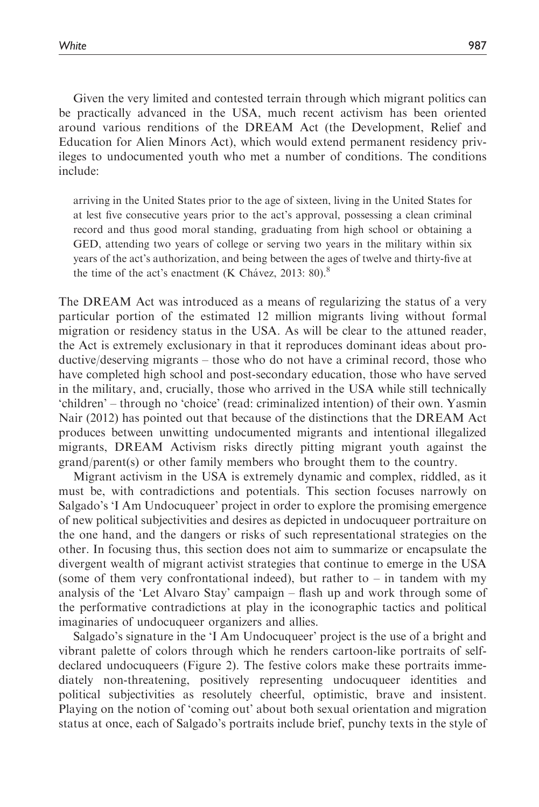Given the very limited and contested terrain through which migrant politics can be practically advanced in the USA, much recent activism has been oriented around various renditions of the DREAM Act (the Development, Relief and Education for Alien Minors Act), which would extend permanent residency privileges to undocumented youth who met a number of conditions. The conditions include:

arriving in the United States prior to the age of sixteen, living in the United States for at lest five consecutive years prior to the act's approval, possessing a clean criminal record and thus good moral standing, graduating from high school or obtaining a GED, attending two years of college or serving two years in the military within six years of the act's authorization, and being between the ages of twelve and thirty-five at the time of the act's enactment (K Chávez, 2013: 80).<sup>8</sup>

The DREAM Act was introduced as a means of regularizing the status of a very particular portion of the estimated 12 million migrants living without formal migration or residency status in the USA. As will be clear to the attuned reader, the Act is extremely exclusionary in that it reproduces dominant ideas about productive/deserving migrants – those who do not have a criminal record, those who have completed high school and post-secondary education, those who have served in the military, and, crucially, those who arrived in the USA while still technically 'children' – through no 'choice' (read: criminalized intention) of their own. Yasmin Nair (2012) has pointed out that because of the distinctions that the DREAM Act produces between unwitting undocumented migrants and intentional illegalized migrants, DREAM Activism risks directly pitting migrant youth against the grand/parent(s) or other family members who brought them to the country.

Migrant activism in the USA is extremely dynamic and complex, riddled, as it must be, with contradictions and potentials. This section focuses narrowly on Salgado's 'I Am Undocuqueer' project in order to explore the promising emergence of new political subjectivities and desires as depicted in undocuqueer portraiture on the one hand, and the dangers or risks of such representational strategies on the other. In focusing thus, this section does not aim to summarize or encapsulate the divergent wealth of migrant activist strategies that continue to emerge in the USA (some of them very confrontational indeed), but rather to  $-$  in tandem with my analysis of the 'Let Alvaro Stay' campaign – flash up and work through some of the performative contradictions at play in the iconographic tactics and political imaginaries of undocuqueer organizers and allies.

Salgado's signature in the 'I Am Undocuqueer' project is the use of a bright and vibrant palette of colors through which he renders cartoon-like portraits of selfdeclared undocuqueers (Figure 2). The festive colors make these portraits immediately non-threatening, positively representing undocuqueer identities and political subjectivities as resolutely cheerful, optimistic, brave and insistent. Playing on the notion of 'coming out' about both sexual orientation and migration status at once, each of Salgado's portraits include brief, punchy texts in the style of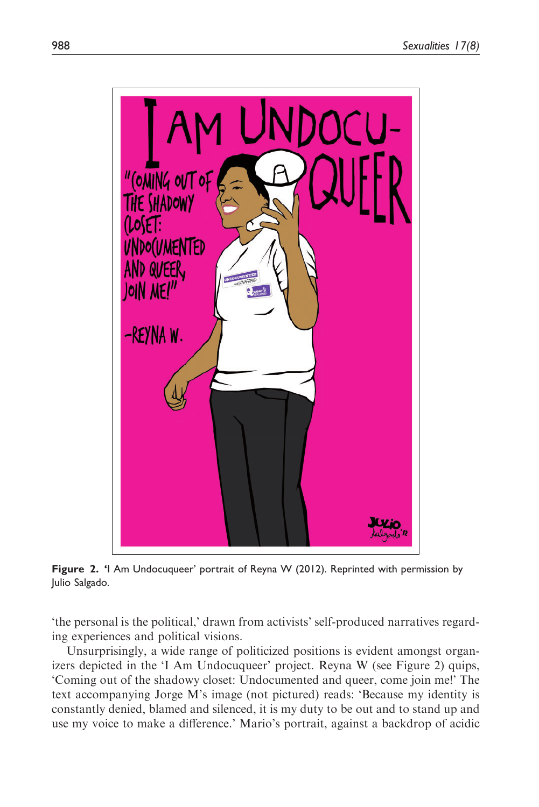

Figure 2. 'I Am Undocuqueer' portrait of Reyna W (2012). Reprinted with permission by Julio Salgado.

'the personal is the political,' drawn from activists' self-produced narratives regarding experiences and political visions.

Unsurprisingly, a wide range of politicized positions is evident amongst organizers depicted in the 'I Am Undocuqueer' project. Reyna W (see Figure 2) quips, 'Coming out of the shadowy closet: Undocumented and queer, come join me!' The text accompanying Jorge M's image (not pictured) reads: 'Because my identity is constantly denied, blamed and silenced, it is my duty to be out and to stand up and use my voice to make a difference.' Mario's portrait, against a backdrop of acidic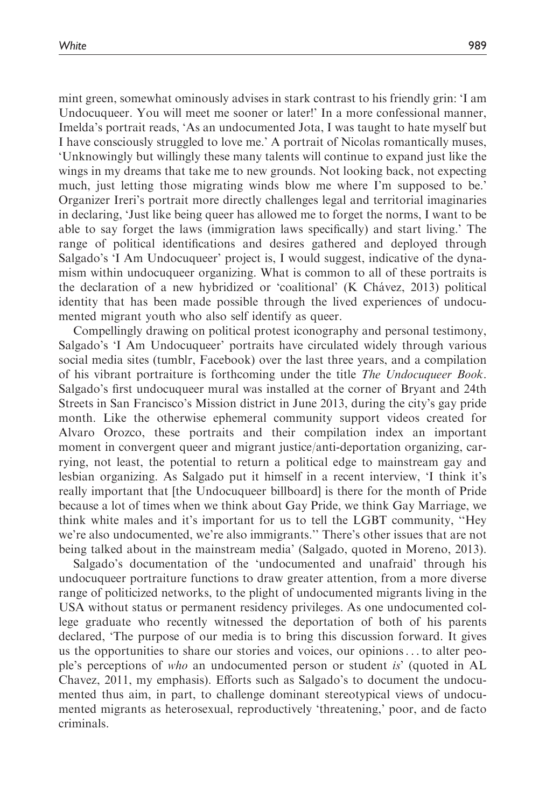mint green, somewhat ominously advises in stark contrast to his friendly grin: 'I am Undocuqueer. You will meet me sooner or later!' In a more confessional manner, Imelda's portrait reads, 'As an undocumented Jota, I was taught to hate myself but I have consciously struggled to love me.' A portrait of Nicolas romantically muses, 'Unknowingly but willingly these many talents will continue to expand just like the wings in my dreams that take me to new grounds. Not looking back, not expecting much, just letting those migrating winds blow me where I'm supposed to be.' Organizer Ireri's portrait more directly challenges legal and territorial imaginaries in declaring, 'Just like being queer has allowed me to forget the norms, I want to be able to say forget the laws (immigration laws specifically) and start living.' The range of political identifications and desires gathered and deployed through Salgado's 'I Am Undocuqueer' project is, I would suggest, indicative of the dynamism within undocuqueer organizing. What is common to all of these portraits is the declaration of a new hybridized or 'coalitional' (K Chavez, 2013) political identity that has been made possible through the lived experiences of undocumented migrant youth who also self identify as queer.

Compellingly drawing on political protest iconography and personal testimony, Salgado's 'I Am Undocuqueer' portraits have circulated widely through various social media sites (tumblr, Facebook) over the last three years, and a compilation of his vibrant portraiture is forthcoming under the title The Undocuqueer Book. Salgado's first undocuqueer mural was installed at the corner of Bryant and 24th Streets in San Francisco's Mission district in June 2013, during the city's gay pride month. Like the otherwise ephemeral community support videos created for Alvaro Orozco, these portraits and their compilation index an important moment in convergent queer and migrant justice/anti-deportation organizing, carrying, not least, the potential to return a political edge to mainstream gay and lesbian organizing. As Salgado put it himself in a recent interview, 'I think it's really important that [the Undocuqueer billboard] is there for the month of Pride because a lot of times when we think about Gay Pride, we think Gay Marriage, we think white males and it's important for us to tell the LGBT community, ''Hey we're also undocumented, we're also immigrants.'' There's other issues that are not being talked about in the mainstream media' (Salgado, quoted in Moreno, 2013).

Salgado's documentation of the 'undocumented and unafraid' through his undocuqueer portraiture functions to draw greater attention, from a more diverse range of politicized networks, to the plight of undocumented migrants living in the USA without status or permanent residency privileges. As one undocumented college graduate who recently witnessed the deportation of both of his parents declared, 'The purpose of our media is to bring this discussion forward. It gives us the opportunities to share our stories and voices, our opinions... to alter people's perceptions of who an undocumented person or student is' (quoted in AL Chavez, 2011, my emphasis). Efforts such as Salgado's to document the undocumented thus aim, in part, to challenge dominant stereotypical views of undocumented migrants as heterosexual, reproductively 'threatening,' poor, and de facto criminals.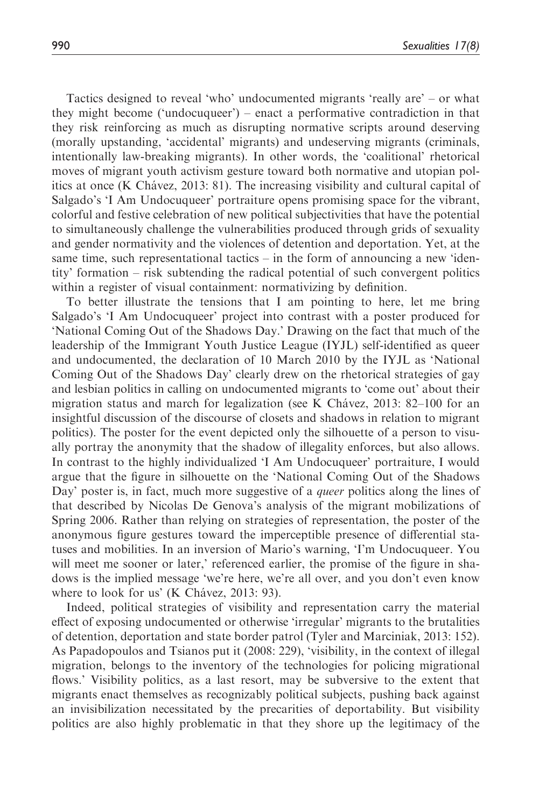Tactics designed to reveal 'who' undocumented migrants 'really are' – or what they might become ('undocuqueer') – enact a performative contradiction in that they risk reinforcing as much as disrupting normative scripts around deserving (morally upstanding, 'accidental' migrants) and undeserving migrants (criminals, intentionally law-breaking migrants). In other words, the 'coalitional' rhetorical moves of migrant youth activism gesture toward both normative and utopian politics at once (K Chávez, 2013: 81). The increasing visibility and cultural capital of Salgado's 'I Am Undocuqueer' portraiture opens promising space for the vibrant, colorful and festive celebration of new political subjectivities that have the potential to simultaneously challenge the vulnerabilities produced through grids of sexuality and gender normativity and the violences of detention and deportation. Yet, at the same time, such representational tactics  $-$  in the form of announcing a new 'identity' formation – risk subtending the radical potential of such convergent politics within a register of visual containment: normativizing by definition.

To better illustrate the tensions that I am pointing to here, let me bring Salgado's 'I Am Undocuqueer' project into contrast with a poster produced for 'National Coming Out of the Shadows Day.' Drawing on the fact that much of the leadership of the Immigrant Youth Justice League (IYJL) self-identified as queer and undocumented, the declaration of 10 March 2010 by the IYJL as 'National Coming Out of the Shadows Day' clearly drew on the rhetorical strategies of gay and lesbian politics in calling on undocumented migrants to 'come out' about their migration status and march for legalization (see K Chavez,  $2013: 82-100$  for an insightful discussion of the discourse of closets and shadows in relation to migrant politics). The poster for the event depicted only the silhouette of a person to visually portray the anonymity that the shadow of illegality enforces, but also allows. In contrast to the highly individualized 'I Am Undocuqueer' portraiture, I would argue that the figure in silhouette on the 'National Coming Out of the Shadows Day' poster is, in fact, much more suggestive of a *queer* politics along the lines of that described by Nicolas De Genova's analysis of the migrant mobilizations of Spring 2006. Rather than relying on strategies of representation, the poster of the anonymous figure gestures toward the imperceptible presence of differential statuses and mobilities. In an inversion of Mario's warning, 'I'm Undocuqueer. You will meet me sooner or later,' referenced earlier, the promise of the figure in shadows is the implied message 'we're here, we're all over, and you don't even know where to look for us' (K Chávez, 2013: 93).

Indeed, political strategies of visibility and representation carry the material effect of exposing undocumented or otherwise 'irregular' migrants to the brutalities of detention, deportation and state border patrol (Tyler and Marciniak, 2013: 152). As Papadopoulos and Tsianos put it (2008: 229), 'visibility, in the context of illegal migration, belongs to the inventory of the technologies for policing migrational flows.' Visibility politics, as a last resort, may be subversive to the extent that migrants enact themselves as recognizably political subjects, pushing back against an invisibilization necessitated by the precarities of deportability. But visibility politics are also highly problematic in that they shore up the legitimacy of the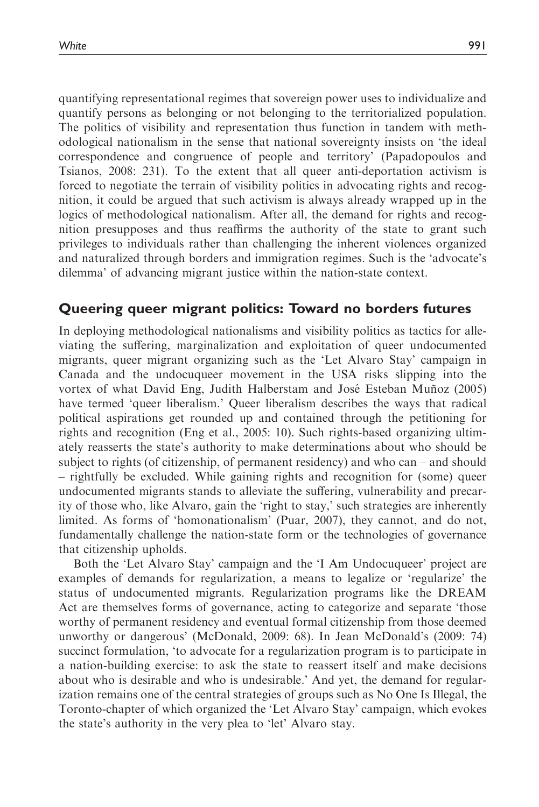quantifying representational regimes that sovereign power uses to individualize and quantify persons as belonging or not belonging to the territorialized population. The politics of visibility and representation thus function in tandem with methodological nationalism in the sense that national sovereignty insists on 'the ideal correspondence and congruence of people and territory' (Papadopoulos and Tsianos, 2008: 231). To the extent that all queer anti-deportation activism is forced to negotiate the terrain of visibility politics in advocating rights and recognition, it could be argued that such activism is always already wrapped up in the logics of methodological nationalism. After all, the demand for rights and recognition presupposes and thus reaffirms the authority of the state to grant such privileges to individuals rather than challenging the inherent violences organized and naturalized through borders and immigration regimes. Such is the 'advocate's dilemma' of advancing migrant justice within the nation-state context.

# Queering queer migrant politics: Toward no borders futures

In deploying methodological nationalisms and visibility politics as tactics for alleviating the suffering, marginalization and exploitation of queer undocumented migrants, queer migrant organizing such as the 'Let Alvaro Stay' campaign in Canada and the undocuqueer movement in the USA risks slipping into the vortex of what David Eng, Judith Halberstam and José Esteban Muñoz (2005) have termed 'queer liberalism.' Queer liberalism describes the ways that radical political aspirations get rounded up and contained through the petitioning for rights and recognition (Eng et al., 2005: 10). Such rights-based organizing ultimately reasserts the state's authority to make determinations about who should be subject to rights (of citizenship, of permanent residency) and who can – and should – rightfully be excluded. While gaining rights and recognition for (some) queer undocumented migrants stands to alleviate the suffering, vulnerability and precarity of those who, like Alvaro, gain the 'right to stay,' such strategies are inherently limited. As forms of 'homonationalism' (Puar, 2007), they cannot, and do not, fundamentally challenge the nation-state form or the technologies of governance that citizenship upholds.

Both the 'Let Alvaro Stay' campaign and the 'I Am Undocuqueer' project are examples of demands for regularization, a means to legalize or 'regularize' the status of undocumented migrants. Regularization programs like the DREAM Act are themselves forms of governance, acting to categorize and separate 'those worthy of permanent residency and eventual formal citizenship from those deemed unworthy or dangerous' (McDonald, 2009: 68). In Jean McDonald's (2009: 74) succinct formulation, 'to advocate for a regularization program is to participate in a nation-building exercise: to ask the state to reassert itself and make decisions about who is desirable and who is undesirable.' And yet, the demand for regularization remains one of the central strategies of groups such as No One Is Illegal, the Toronto-chapter of which organized the 'Let Alvaro Stay' campaign, which evokes the state's authority in the very plea to 'let' Alvaro stay.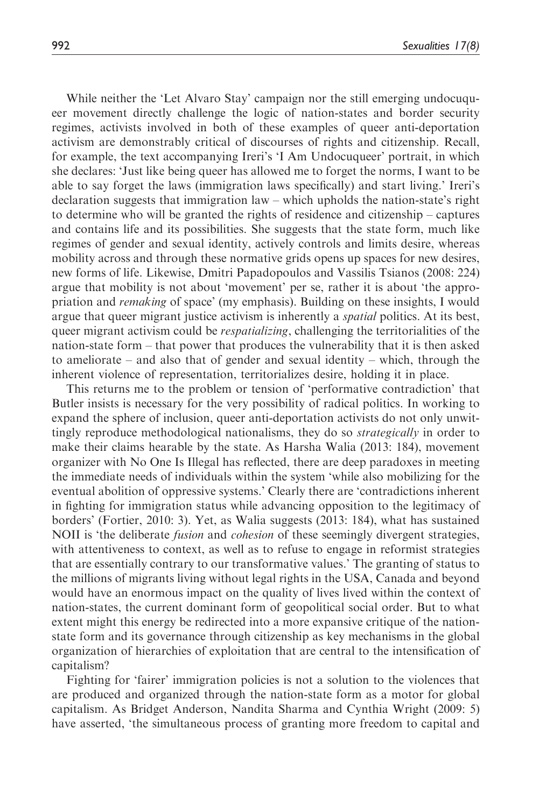While neither the 'Let Alvaro Stay' campaign nor the still emerging undocuqueer movement directly challenge the logic of nation-states and border security regimes, activists involved in both of these examples of queer anti-deportation activism are demonstrably critical of discourses of rights and citizenship. Recall, for example, the text accompanying Ireri's 'I Am Undocuqueer' portrait, in which she declares: 'Just like being queer has allowed me to forget the norms, I want to be able to say forget the laws (immigration laws specifically) and start living.' Ireri's declaration suggests that immigration law – which upholds the nation-state's right to determine who will be granted the rights of residence and citizenship – captures and contains life and its possibilities. She suggests that the state form, much like regimes of gender and sexual identity, actively controls and limits desire, whereas mobility across and through these normative grids opens up spaces for new desires, new forms of life. Likewise, Dmitri Papadopoulos and Vassilis Tsianos (2008: 224) argue that mobility is not about 'movement' per se, rather it is about 'the appropriation and remaking of space' (my emphasis). Building on these insights, I would argue that queer migrant justice activism is inherently a *spatial* politics. At its best, queer migrant activism could be *respatializing*, challenging the territorialities of the nation-state form – that power that produces the vulnerability that it is then asked to ameliorate – and also that of gender and sexual identity – which, through the inherent violence of representation, territorializes desire, holding it in place.

This returns me to the problem or tension of 'performative contradiction' that Butler insists is necessary for the very possibility of radical politics. In working to expand the sphere of inclusion, queer anti-deportation activists do not only unwittingly reproduce methodological nationalisms, they do so *strategically* in order to make their claims hearable by the state. As Harsha Walia (2013: 184), movement organizer with No One Is Illegal has reflected, there are deep paradoxes in meeting the immediate needs of individuals within the system 'while also mobilizing for the eventual abolition of oppressive systems.' Clearly there are 'contradictions inherent in fighting for immigration status while advancing opposition to the legitimacy of borders' (Fortier, 2010: 3). Yet, as Walia suggests (2013: 184), what has sustained NOII is 'the deliberate *fusion* and *cohesion* of these seemingly divergent strategies, with attentiveness to context, as well as to refuse to engage in reformist strategies that are essentially contrary to our transformative values.' The granting of status to the millions of migrants living without legal rights in the USA, Canada and beyond would have an enormous impact on the quality of lives lived within the context of nation-states, the current dominant form of geopolitical social order. But to what extent might this energy be redirected into a more expansive critique of the nationstate form and its governance through citizenship as key mechanisms in the global organization of hierarchies of exploitation that are central to the intensification of capitalism?

Fighting for 'fairer' immigration policies is not a solution to the violences that are produced and organized through the nation-state form as a motor for global capitalism. As Bridget Anderson, Nandita Sharma and Cynthia Wright (2009: 5) have asserted, 'the simultaneous process of granting more freedom to capital and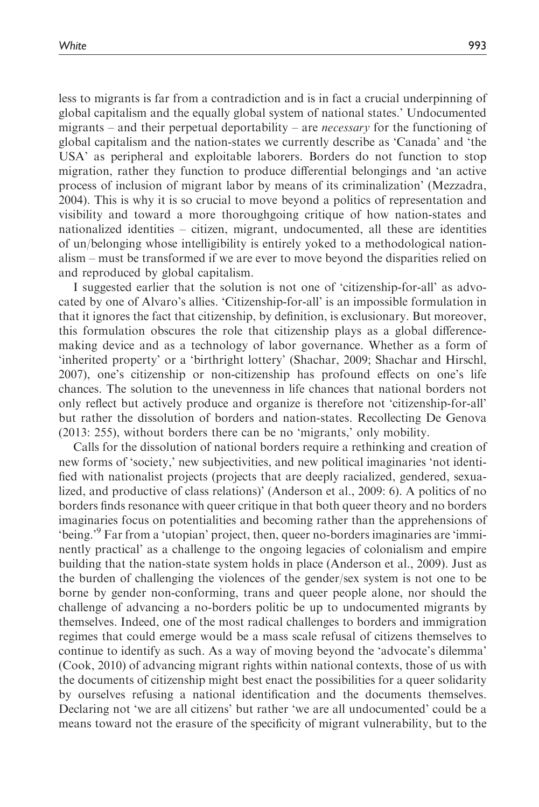less to migrants is far from a contradiction and is in fact a crucial underpinning of global capitalism and the equally global system of national states.' Undocumented migrants – and their perpetual deportability – are *necessary* for the functioning of global capitalism and the nation-states we currently describe as 'Canada' and 'the USA' as peripheral and exploitable laborers. Borders do not function to stop migration, rather they function to produce differential belongings and 'an active process of inclusion of migrant labor by means of its criminalization' (Mezzadra, 2004). This is why it is so crucial to move beyond a politics of representation and visibility and toward a more thoroughgoing critique of how nation-states and nationalized identities – citizen, migrant, undocumented, all these are identities of un/belonging whose intelligibility is entirely yoked to a methodological nationalism – must be transformed if we are ever to move beyond the disparities relied on and reproduced by global capitalism.

I suggested earlier that the solution is not one of 'citizenship-for-all' as advocated by one of Alvaro's allies. 'Citizenship-for-all' is an impossible formulation in that it ignores the fact that citizenship, by definition, is exclusionary. But moreover, this formulation obscures the role that citizenship plays as a global differencemaking device and as a technology of labor governance. Whether as a form of 'inherited property' or a 'birthright lottery' (Shachar, 2009; Shachar and Hirschl, 2007), one's citizenship or non-citizenship has profound effects on one's life chances. The solution to the unevenness in life chances that national borders not only reflect but actively produce and organize is therefore not 'citizenship-for-all' but rather the dissolution of borders and nation-states. Recollecting De Genova (2013: 255), without borders there can be no 'migrants,' only mobility.

Calls for the dissolution of national borders require a rethinking and creation of new forms of 'society,' new subjectivities, and new political imaginaries 'not identified with nationalist projects (projects that are deeply racialized, gendered, sexualized, and productive of class relations)' (Anderson et al., 2009: 6). A politics of no borders finds resonance with queer critique in that both queer theory and no borders imaginaries focus on potentialities and becoming rather than the apprehensions of 'being.'<sup>9</sup> Far from a 'utopian' project, then, queer no-borders imaginaries are 'imminently practical' as a challenge to the ongoing legacies of colonialism and empire building that the nation-state system holds in place (Anderson et al., 2009). Just as the burden of challenging the violences of the gender/sex system is not one to be borne by gender non-conforming, trans and queer people alone, nor should the challenge of advancing a no-borders politic be up to undocumented migrants by themselves. Indeed, one of the most radical challenges to borders and immigration regimes that could emerge would be a mass scale refusal of citizens themselves to continue to identify as such. As a way of moving beyond the 'advocate's dilemma' (Cook, 2010) of advancing migrant rights within national contexts, those of us with the documents of citizenship might best enact the possibilities for a queer solidarity by ourselves refusing a national identification and the documents themselves. Declaring not 'we are all citizens' but rather 'we are all undocumented' could be a means toward not the erasure of the specificity of migrant vulnerability, but to the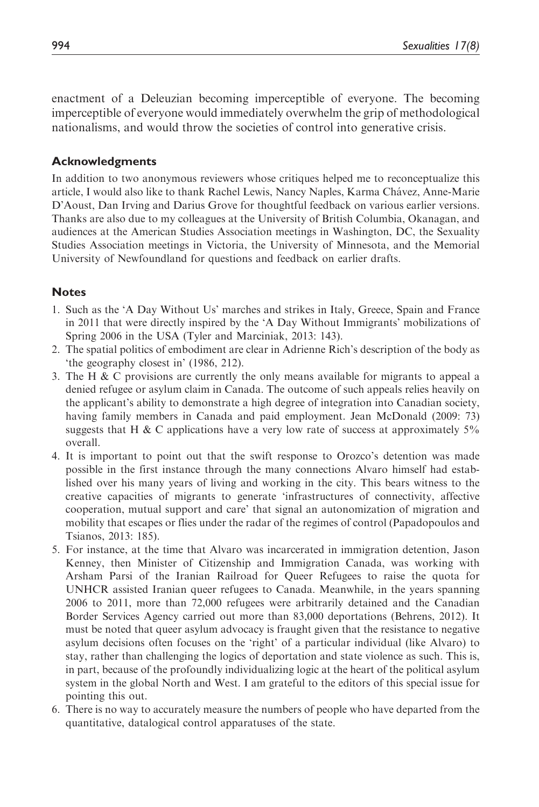enactment of a Deleuzian becoming imperceptible of everyone. The becoming imperceptible of everyone would immediately overwhelm the grip of methodological nationalisms, and would throw the societies of control into generative crisis.

## Acknowledgments

In addition to two anonymous reviewers whose critiques helped me to reconceptualize this article, I would also like to thank Rachel Lewis, Nancy Naples, Karma Chávez, Anne-Marie D'Aoust, Dan Irving and Darius Grove for thoughtful feedback on various earlier versions. Thanks are also due to my colleagues at the University of British Columbia, Okanagan, and audiences at the American Studies Association meetings in Washington, DC, the Sexuality Studies Association meetings in Victoria, the University of Minnesota, and the Memorial University of Newfoundland for questions and feedback on earlier drafts.

#### **Notes**

- 1. Such as the 'A Day Without Us' marches and strikes in Italy, Greece, Spain and France in 2011 that were directly inspired by the 'A Day Without Immigrants' mobilizations of Spring 2006 in the USA (Tyler and Marciniak, 2013: 143).
- 2. The spatial politics of embodiment are clear in Adrienne Rich's description of the body as 'the geography closest in' (1986, 212).
- 3. The H  $\&$  C provisions are currently the only means available for migrants to appeal a denied refugee or asylum claim in Canada. The outcome of such appeals relies heavily on the applicant's ability to demonstrate a high degree of integration into Canadian society, having family members in Canada and paid employment. Jean McDonald (2009: 73) suggests that H & C applications have a very low rate of success at approximately  $5\%$ overall.
- 4. It is important to point out that the swift response to Orozco's detention was made possible in the first instance through the many connections Alvaro himself had established over his many years of living and working in the city. This bears witness to the creative capacities of migrants to generate 'infrastructures of connectivity, affective cooperation, mutual support and care' that signal an autonomization of migration and mobility that escapes or flies under the radar of the regimes of control (Papadopoulos and Tsianos, 2013: 185).
- 5. For instance, at the time that Alvaro was incarcerated in immigration detention, Jason Kenney, then Minister of Citizenship and Immigration Canada, was working with Arsham Parsi of the Iranian Railroad for Queer Refugees to raise the quota for UNHCR assisted Iranian queer refugees to Canada. Meanwhile, in the years spanning 2006 to 2011, more than 72,000 refugees were arbitrarily detained and the Canadian Border Services Agency carried out more than 83,000 deportations (Behrens, 2012). It must be noted that queer asylum advocacy is fraught given that the resistance to negative asylum decisions often focuses on the 'right' of a particular individual (like Alvaro) to stay, rather than challenging the logics of deportation and state violence as such. This is, in part, because of the profoundly individualizing logic at the heart of the political asylum system in the global North and West. I am grateful to the editors of this special issue for pointing this out.
- 6. There is no way to accurately measure the numbers of people who have departed from the quantitative, datalogical control apparatuses of the state.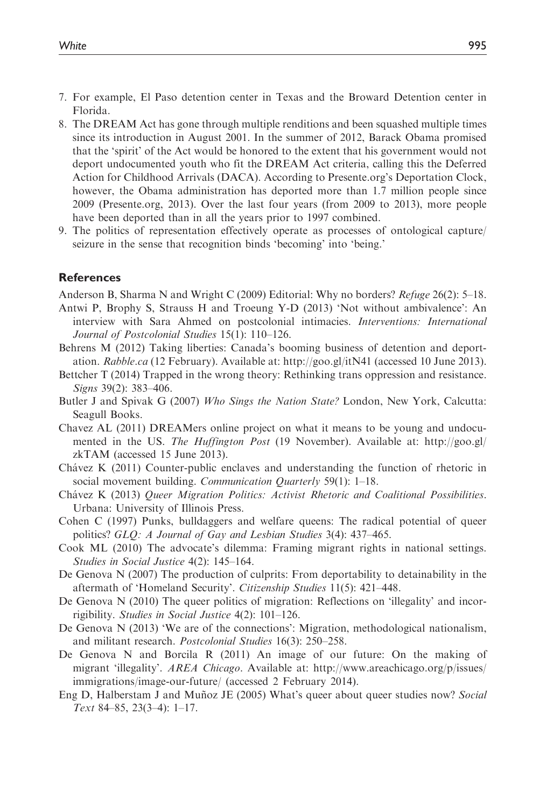- 7. For example, El Paso detention center in Texas and the Broward Detention center in Florida.
- 8. The DREAM Act has gone through multiple renditions and been squashed multiple times since its introduction in August 2001. In the summer of 2012, Barack Obama promised that the 'spirit' of the Act would be honored to the extent that his government would not deport undocumented youth who fit the DREAM Act criteria, calling this the Deferred Action for Childhood Arrivals (DACA). According to Presente.org's Deportation Clock, however, the Obama administration has deported more than 1.7 million people since 2009 (Presente.org, 2013). Over the last four years (from 2009 to 2013), more people have been deported than in all the years prior to 1997 combined.
- 9. The politics of representation effectively operate as processes of ontological capture/ seizure in the sense that recognition binds 'becoming' into 'being.'

#### **References**

Anderson B, Sharma N and Wright C (2009) Editorial: Why no borders? Refuge 26(2): 5–18.

- Antwi P, Brophy S, Strauss H and Troeung Y-D (2013) 'Not without ambivalence': An interview with Sara Ahmed on postcolonial intimacies. Interventions: International Journal of Postcolonial Studies 15(1): 110–126.
- Behrens M (2012) Taking liberties: Canada's booming business of detention and deportation. Rabble.ca (12 February). Available at:<http://goo.gl/itN41> (accessed 10 June 2013).
- Bettcher T (2014) Trapped in the wrong theory: Rethinking trans oppression and resistance. Signs 39(2): 383–406.
- Butler J and Spivak G (2007) Who Sings the Nation State? London, New York, Calcutta: Seagull Books.
- Chavez AL (2011) DREAMers online project on what it means to be young and undocumented in the US. The Huffington Post (19 November). Available at: [http://goo.gl/](http://goo.gl/zkTAM) [zkTAM](http://goo.gl/zkTAM) (accessed 15 June 2013).
- Cha´vez K (2011) Counter-public enclaves and understanding the function of rhetoric in social movement building. *Communication Quarterly* 59(1): 1–18.
- Cha´vez K (2013) Queer Migration Politics: Activist Rhetoric and Coalitional Possibilities. Urbana: University of Illinois Press.
- Cohen C (1997) Punks, bulldaggers and welfare queens: The radical potential of queer politics? GLQ: A Journal of Gay and Lesbian Studies 3(4): 437–465.
- Cook ML (2010) The advocate's dilemma: Framing migrant rights in national settings. Studies in Social Justice 4(2): 145–164.
- De Genova N (2007) The production of culprits: From deportability to detainability in the aftermath of 'Homeland Security'. Citizenship Studies 11(5): 421–448.
- De Genova N (2010) The queer politics of migration: Reflections on 'illegality' and incorrigibility. Studies in Social Justice 4(2): 101–126.
- De Genova N (2013) 'We are of the connections': Migration, methodological nationalism, and militant research. Postcolonial Studies 16(3): 250–258.
- De Genova N and Borcila R (2011) An image of our future: On the making of migrant 'illegality'. AREA Chicago. Available at: [http://www.areachicago.org/p/issues/](http://www.areachicago.org/p/issues/immigrations/image-our-future/) [immigrations/image-our-future/](http://www.areachicago.org/p/issues/immigrations/image-our-future/) (accessed 2 February 2014).
- Eng D, Halberstam J and Muñoz JE (2005) What's queer about queer studies now? Social Text 84–85, 23(3–4): 1–17.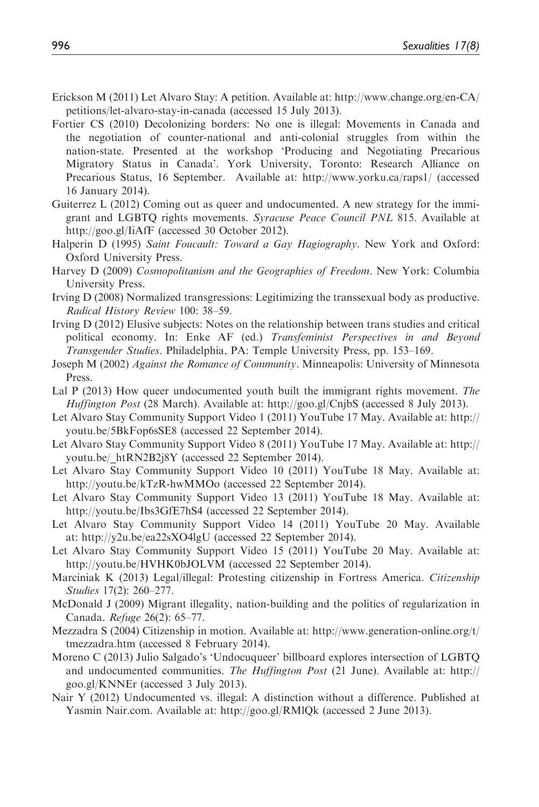- Erickson M (2011) Let Alvaro Stay: A petition. Available at: [http://www.change.org/en-CA/](http://www.change.org/en-CA/petitions/let-alvaro-stay-in-canada) [petitions/let-alvaro-stay-in-canada](http://www.change.org/en-CA/petitions/let-alvaro-stay-in-canada) (accessed 15 July 2013).
- Fortier CS (2010) Decolonizing borders: No one is illegal: Movements in Canada and the negotiation of counter-national and anti-colonial struggles from within the nation-state. Presented at the workshop 'Producing and Negotiating Precarious Migratory Status in Canada'. York University, Toronto: Research Alliance on Precarious Status, 16 September. Available at:<http://www.yorku.ca/raps1/> (accessed 16 January 2014).
- Guiterrez L (2012) Coming out as queer and undocumented. A new strategy for the immigrant and LGBTQ rights movements. Syracuse Peace Council PNL 815. Available at <http://goo.gl/IiAfF> (accessed 30 October 2012).
- Halperin D (1995) Saint Foucault: Toward a Gay Hagiography. New York and Oxford: Oxford University Press.
- Harvey D (2009) Cosmopolitanism and the Geographies of Freedom. New York: Columbia University Press.
- Irving D (2008) Normalized transgressions: Legitimizing the transsexual body as productive. Radical History Review 100: 38–59.
- Irving D (2012) Elusive subjects: Notes on the relationship between trans studies and critical political economy. In: Enke AF (ed.) Transfeminist Perspectives in and Beyond Transgender Studies. Philadelphia, PA: Temple University Press, pp. 153–169.
- Joseph M (2002) Against the Romance of Community. Minneapolis: University of Minnesota Press.
- Lal P (2013) How queer undocumented youth built the immigrant rights movement. The Huffington Post (28 March). Available at:<http://goo.gl/CnjbS> (accessed 8 July 2013).
- Let Alvaro Stay Community Support Video 1 (2011) YouTube 17 May. Available at: [http://](http://youtu.be/5BkFop6sSE8) [youtu.be/5BkFop6sSE8](http://youtu.be/5BkFop6sSE8) (accessed 22 September 2014).
- Let Alvaro Stay Community Support Video 8 (2011) YouTube 17 May. Available at: [http://](http://youtu.be/_htRN2B2j8Y) [youtu.be/\\_htRN2B2j8Y](http://youtu.be/_htRN2B2j8Y) (accessed 22 September 2014).
- Let Alvaro Stay Community Support Video 10 (2011) YouTube 18 May. Available at: <http://youtu.be/kTzR-hwMMOo> (accessed 22 September 2014).
- Let Alvaro Stay Community Support Video 13 (2011) YouTube 18 May. Available at: <http://youtu.be/Ibs3GfE7hS4> (accessed 22 September 2014).
- Let Alvaro Stay Community Support Video 14 (2011) YouTube 20 May. Available at:<http://y2u.be/ea22sXO4lgU> (accessed 22 September 2014).
- Let Alvaro Stay Community Support Video 15 (2011) YouTube 20 May. Available at: <http://youtu.be/HVHK0bJOLVM> (accessed 22 September 2014).
- Marciniak K (2013) Legal/illegal: Protesting citizenship in Fortress America. Citizenship Studies 17(2): 260–277.
- McDonald J (2009) Migrant illegality, nation-building and the politics of regularization in Canada. Refuge 26(2): 65–77.
- Mezzadra S (2004) Citizenship in motion. Available at: [http://www.generation-online.org/t/](http://www.generation-online.org/t/tmezzadra.htm) [tmezzadra.htm](http://www.generation-online.org/t/tmezzadra.htm) (accessed 8 February 2014).
- Moreno C (2013) Julio Salgado's 'Undocuqueer' billboard explores intersection of LGBTQ and undocumented communities. The Huffington Post (21 June). Available at: [http://](http://goo.gl/KNNEr) [goo.gl/KNNEr](http://goo.gl/KNNEr) (accessed 3 July 2013).
- Nair Y (2012) Undocumented vs. illegal: A distinction without a difference. Published at Yasmin Nair.com. Available at:<http://goo.gl/RMlQk> (accessed 2 June 2013).